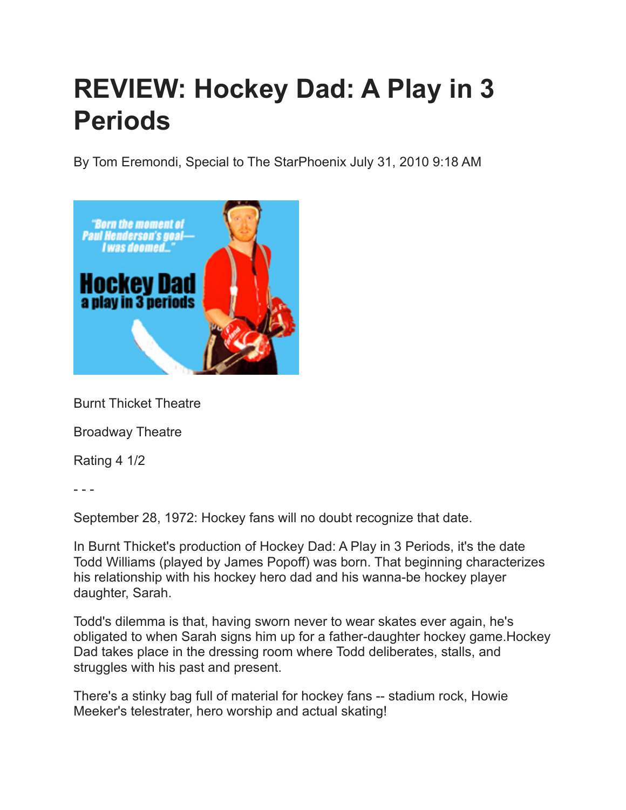## **REVIEW: Hockey Dad: A Play in 3 Periods**

By Tom Eremondi, Special to The StarPhoenix July 31, 2010 9:18 AM



Burnt Thicket Theatre

Broadway Theatre

Rating 4 1/2

- - -

September 28, 1972: Hockey fans will no doubt recognize that date.

In Burnt Thicket's production of Hockey Dad: A Play in 3 Periods, it's the date Todd Williams (played by James Popoff) was born. That beginning characterizes his relationship with his hockey hero dad and his wanna-be hockey player daughter, Sarah.

Todd's dilemma is that, having sworn never to wear skates ever again, he's obligated to when Sarah signs him up for a father-daughter hockey game.Hockey Dad takes place in the dressing room where Todd deliberates, stalls, and struggles with his past and present.

There's a stinky bag full of material for hockey fans -- stadium rock, Howie Meeker's telestrater, hero worship and actual skating!